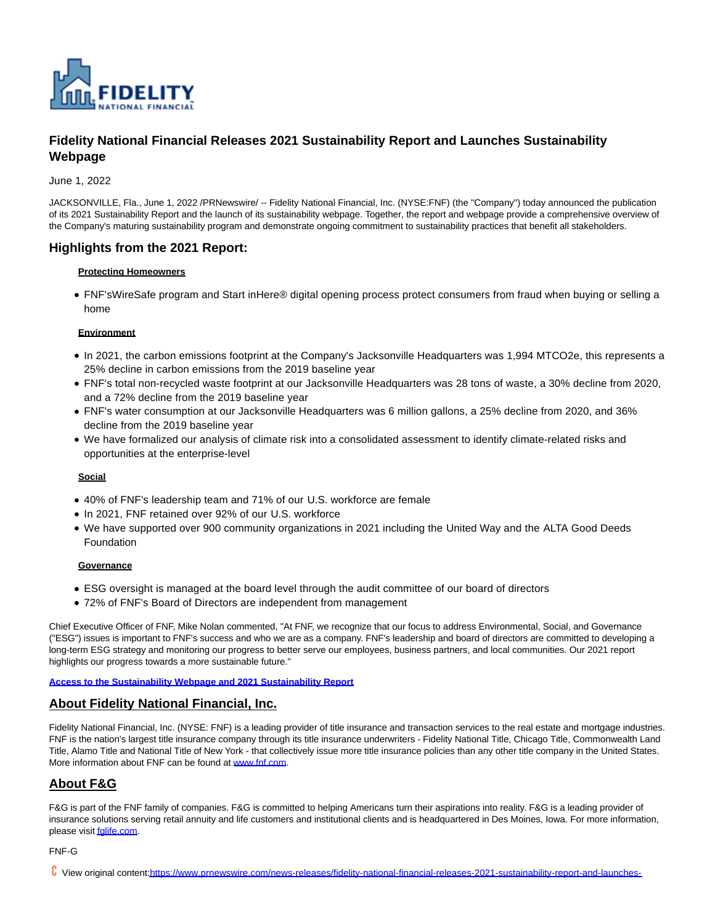

# **Fidelity National Financial Releases 2021 Sustainability Report and Launches Sustainability Webpage**

June 1, 2022

JACKSONVILLE, Fla., June 1, 2022 /PRNewswire/ -- Fidelity National Financial, Inc. (NYSE:FNF) (the "Company") today announced the publication of its 2021 Sustainability Report and the launch of its sustainability webpage. Together, the report and webpage provide a comprehensive overview of the Company's maturing sustainability program and demonstrate ongoing commitment to sustainability practices that benefit all stakeholders.

# **Highlights from the 2021 Report:**

#### **Protecting Homeowners**

FNF'sWireSafe program and Start inHere® digital opening process protect consumers from fraud when buying or selling a home

#### **Environment**

- In 2021, the carbon emissions footprint at the Company's Jacksonville Headquarters was 1,994 MTCO2e, this represents a 25% decline in carbon emissions from the 2019 baseline year
- FNF's total non-recycled waste footprint at our Jacksonville Headquarters was 28 tons of waste, a 30% decline from 2020, and a 72% decline from the 2019 baseline year
- FNF's water consumption at our Jacksonville Headquarters was 6 million gallons, a 25% decline from 2020, and 36% decline from the 2019 baseline year
- We have formalized our analysis of climate risk into a consolidated assessment to identify climate-related risks and opportunities at the enterprise-level

### **Social**

- 40% of FNF's leadership team and 71% of our U.S. workforce are female
- In 2021, FNF retained over 92% of our U.S. workforce
- We have supported over 900 community organizations in 2021 including the United Way and the ALTA Good Deeds Foundation

### **Governance**

- ESG oversight is managed at the board level through the audit committee of our board of directors
- 72% of FNF's Board of Directors are independent from management

Chief Executive Officer of FNF, Mike Nolan commented, "At FNF, we recognize that our focus to address Environmental, Social, and Governance ("ESG") issues is important to FNF's success and who we are as a company. FNF's leadership and board of directors are committed to developing a long-term ESG strategy and monitoring our progress to better serve our employees, business partners, and local communities. Our 2021 report highlights our progress towards a more sustainable future."

#### **[Access to the Sustainability Webpage and 2021 Sustainability Report](https://c212.net/c/link/?t=0&l=en&o=3554775-1&h=76515057&u=https%3A%2F%2Fwww.fnf.com%2Fsustainability&a=Access+to+the+Sustainability+Webpage+and+2021+Sustainability+Report)**

## **About Fidelity National Financial, Inc.**

Fidelity National Financial, Inc. (NYSE: FNF) is a leading provider of title insurance and transaction services to the real estate and mortgage industries. FNF is the nation's largest title insurance company through its title insurance underwriters - Fidelity National Title, Chicago Title, Commonwealth Land Title, Alamo Title and National Title of New York - that collectively issue more title insurance policies than any other title company in the United States. More information about FNF can be found at [www.fnf.com.](http://www.fnf.com/)

# **About F&G**

F&G is part of the FNF family of companies. F&G is committed to helping Americans turn their aspirations into reality. F&G is a leading provider of insurance solutions serving retail annuity and life customers and institutional clients and is headquartered in Des Moines, Iowa. For more information, please visit falife.com.

### FNF-G

View original conten[t:https://www.prnewswire.com/news-releases/fidelity-national-financial-releases-2021-sustainability-report-and-launches-](https://www.prnewswire.com/news-releases/fidelity-national-financial-releases-2021-sustainability-report-and-launches-sustainability-webpage-301559550.html)